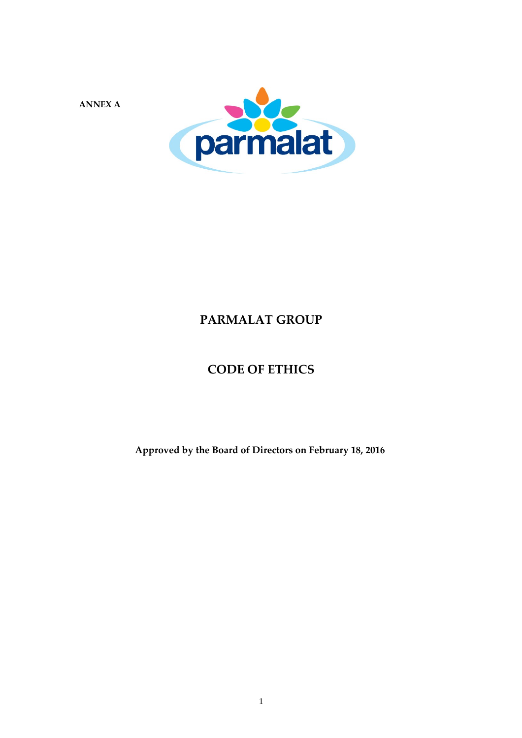**ANNEX A**



## **PARMALAT GROUP**

## **CODE OF ETHICS**

**Approved by the Board of Directors on February 18, 2016**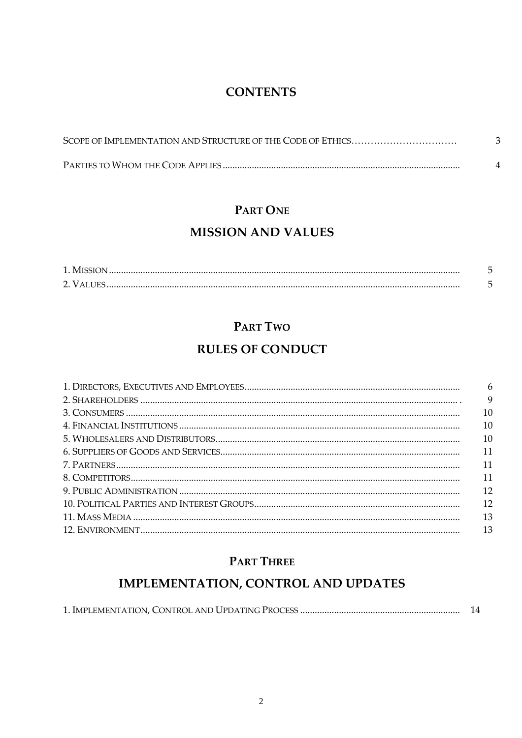## **CONTENTS**

# PART ONE

## **MISSION AND VALUES**

## PART TWO

## **RULES OF CONDUCT**

| 6  |
|----|
|    |
| 9  |
| 10 |
| 10 |
| 10 |
| 11 |
| 11 |
| 11 |
| 12 |
| 12 |
| 13 |
| 13 |

## PART THREE

## IMPLEMENTATION, CONTROL AND UPDATES

|--|--|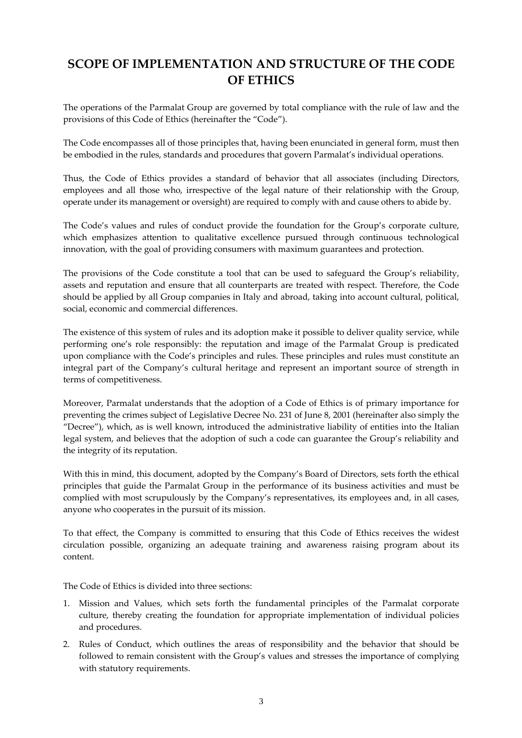## **SCOPE OF IMPLEMENTATION AND STRUCTURE OF THE CODE OF ETHICS**

The operations of the Parmalat Group are governed by total compliance with the rule of law and the provisions of this Code of Ethics (hereinafter the "Code").

The Code encompasses all of those principles that, having been enunciated in general form, must then be embodied in the rules, standards and procedures that govern Parmalat's individual operations.

Thus, the Code of Ethics provides a standard of behavior that all associates (including Directors, employees and all those who, irrespective of the legal nature of their relationship with the Group, operate under its management or oversight) are required to comply with and cause others to abide by.

The Code's values and rules of conduct provide the foundation for the Group's corporate culture, which emphasizes attention to qualitative excellence pursued through continuous technological innovation, with the goal of providing consumers with maximum guarantees and protection.

The provisions of the Code constitute a tool that can be used to safeguard the Group's reliability, assets and reputation and ensure that all counterparts are treated with respect. Therefore, the Code should be applied by all Group companies in Italy and abroad, taking into account cultural, political, social, economic and commercial differences.

The existence of this system of rules and its adoption make it possible to deliver quality service, while performing one's role responsibly: the reputation and image of the Parmalat Group is predicated upon compliance with the Code's principles and rules. These principles and rules must constitute an integral part of the Company's cultural heritage and represent an important source of strength in terms of competitiveness.

Moreover, Parmalat understands that the adoption of a Code of Ethics is of primary importance for preventing the crimes subject of Legislative Decree No. 231 of June 8, 2001 (hereinafter also simply the "Decree"), which, as is well known, introduced the administrative liability of entities into the Italian legal system, and believes that the adoption of such a code can guarantee the Group's reliability and the integrity of its reputation.

With this in mind, this document, adopted by the Company's Board of Directors, sets forth the ethical principles that guide the Parmalat Group in the performance of its business activities and must be complied with most scrupulously by the Company's representatives, its employees and, in all cases, anyone who cooperates in the pursuit of its mission.

To that effect, the Company is committed to ensuring that this Code of Ethics receives the widest circulation possible, organizing an adequate training and awareness raising program about its content.

The Code of Ethics is divided into three sections:

- 1. Mission and Values, which sets forth the fundamental principles of the Parmalat corporate culture, thereby creating the foundation for appropriate implementation of individual policies and procedures.
- 2. Rules of Conduct, which outlines the areas of responsibility and the behavior that should be followed to remain consistent with the Group's values and stresses the importance of complying with statutory requirements.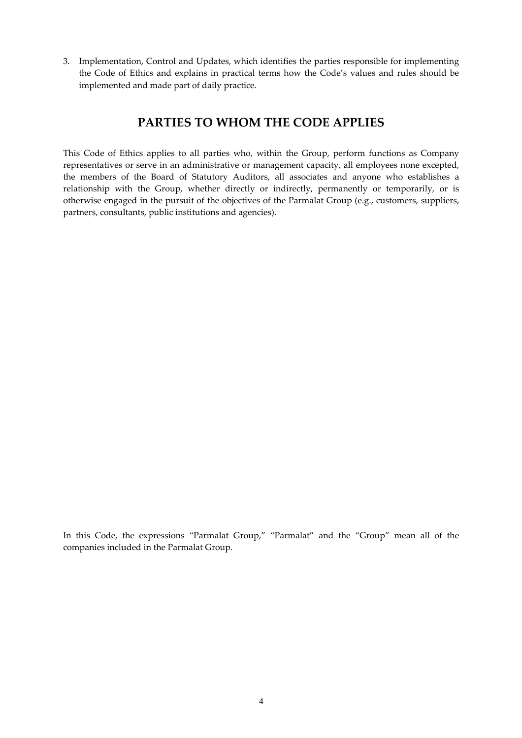3. Implementation, Control and Updates, which identifies the parties responsible for implementing the Code of Ethics and explains in practical terms how the Code's values and rules should be implemented and made part of daily practice.

## **PARTIES TO WHOM THE CODE APPLIES**

This Code of Ethics applies to all parties who, within the Group, perform functions as Company representatives or serve in an administrative or management capacity, all employees none excepted, the members of the Board of Statutory Auditors, all associates and anyone who establishes a relationship with the Group, whether directly or indirectly, permanently or temporarily, or is otherwise engaged in the pursuit of the objectives of the Parmalat Group (e.g., customers, suppliers, partners, consultants, public institutions and agencies).

In this Code, the expressions "Parmalat Group," "Parmalat" and the "Group" mean all of the companies included in the Parmalat Group.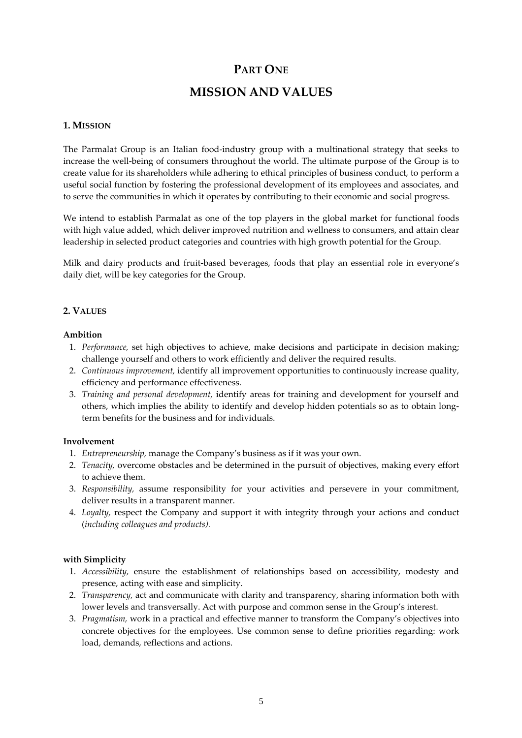# **PART ONE MISSION AND VALUES**

#### **1. MISSION**

The Parmalat Group is an Italian food‐industry group with a multinational strategy that seeks to increase the well‐being of consumers throughout the world. The ultimate purpose of the Group is to create value for its shareholders while adhering to ethical principles of business conduct, to perform a useful social function by fostering the professional development of its employees and associates, and to serve the communities in which it operates by contributing to their economic and social progress.

We intend to establish Parmalat as one of the top players in the global market for functional foods with high value added, which deliver improved nutrition and wellness to consumers, and attain clear leadership in selected product categories and countries with high growth potential for the Group.

Milk and dairy products and fruit-based beverages, foods that play an essential role in everyone's daily diet, will be key categories for the Group.

#### **2. VALUES**

#### **Ambition**

- 1. *Performance,* set high objectives to achieve, make decisions and participate in decision making; challenge yourself and others to work efficiently and deliver the required results.
- 2. *Continuous improvement,* identify all improvement opportunities to continuously increase quality, efficiency and performance effectiveness.
- 3. *Training and personal development,* identify areas for training and development for yourself and others, which implies the ability to identify and develop hidden potentials so as to obtain long‐ term benefits for the business and for individuals.

#### **Involvement**

- 1. *Entrepreneurship,* manage the Company's business as if it was your own.
- 2. *Tenacity,* overcome obstacles and be determined in the pursuit of objectives, making every effort to achieve them.
- 3. *Responsibility,* assume responsibility for your activities and persevere in your commitment, deliver results in a transparent manner.
- 4. *Loyalty,* respect the Company and support it with integrity through your actions and conduct (*including colleagues and products).*

#### **with Simplicity**

- 1. *Accessibility,* ensure the establishment of relationships based on accessibility, modesty and presence, acting with ease and simplicity.
- 2. *Transparency,* act and communicate with clarity and transparency, sharing information both with lower levels and transversally. Act with purpose and common sense in the Group's interest.
- 3. *Pragmatism,* work in a practical and effective manner to transform the Company's objectives into concrete objectives for the employees. Use common sense to define priorities regarding: work load, demands, reflections and actions.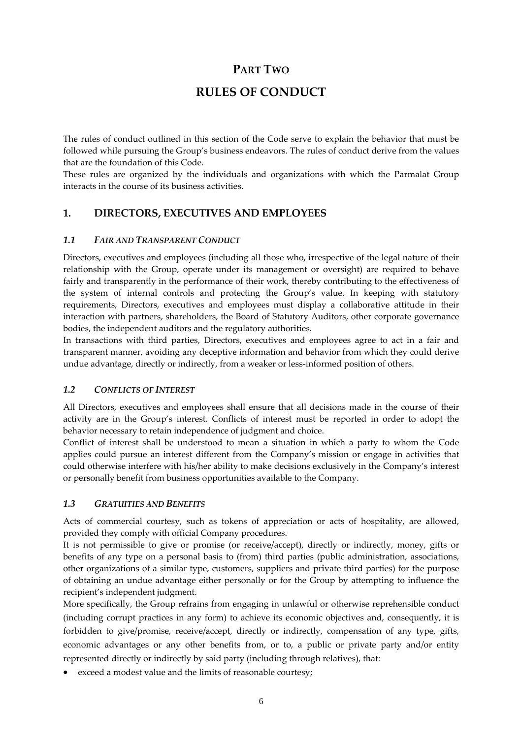## **PART TWO**

## **RULES OF CONDUCT**

The rules of conduct outlined in this section of the Code serve to explain the behavior that must be followed while pursuing the Group's business endeavors. The rules of conduct derive from the values that are the foundation of this Code.

These rules are organized by the individuals and organizations with which the Parmalat Group interacts in the course of its business activities.

### **1. DIRECTORS, EXECUTIVES AND EMPLOYEES**

#### *1.1 FAIR AND TRANSPARENT CONDUCT*

Directors, executives and employees (including all those who, irrespective of the legal nature of their relationship with the Group, operate under its management or oversight) are required to behave fairly and transparently in the performance of their work, thereby contributing to the effectiveness of the system of internal controls and protecting the Group's value. In keeping with statutory requirements, Directors, executives and employees must display a collaborative attitude in their interaction with partners, shareholders, the Board of Statutory Auditors, other corporate governance bodies, the independent auditors and the regulatory authorities.

In transactions with third parties, Directors, executives and employees agree to act in a fair and transparent manner, avoiding any deceptive information and behavior from which they could derive undue advantage, directly or indirectly, from a weaker or less‐informed position of others.

#### *1.2 CONFLICTS OF INTEREST*

All Directors, executives and employees shall ensure that all decisions made in the course of their activity are in the Group's interest. Conflicts of interest must be reported in order to adopt the behavior necessary to retain independence of judgment and choice.

Conflict of interest shall be understood to mean a situation in which a party to whom the Code applies could pursue an interest different from the Company's mission or engage in activities that could otherwise interfere with his/her ability to make decisions exclusively in the Company's interest or personally benefit from business opportunities available to the Company.

#### *1.3 GRATUITIES AND BENEFITS*

Acts of commercial courtesy, such as tokens of appreciation or acts of hospitality, are allowed, provided they comply with official Company procedures.

It is not permissible to give or promise (or receive/accept), directly or indirectly, money, gifts or benefits of any type on a personal basis to (from) third parties (public administration, associations, other organizations of a similar type, customers, suppliers and private third parties) for the purpose of obtaining an undue advantage either personally or for the Group by attempting to influence the recipient's independent judgment.

More specifically, the Group refrains from engaging in unlawful or otherwise reprehensible conduct (including corrupt practices in any form) to achieve its economic objectives and, consequently, it is forbidden to give/promise, receive/accept, directly or indirectly, compensation of any type, gifts, economic advantages or any other benefits from, or to, a public or private party and/or entity represented directly or indirectly by said party (including through relatives), that:

exceed a modest value and the limits of reasonable courtesy;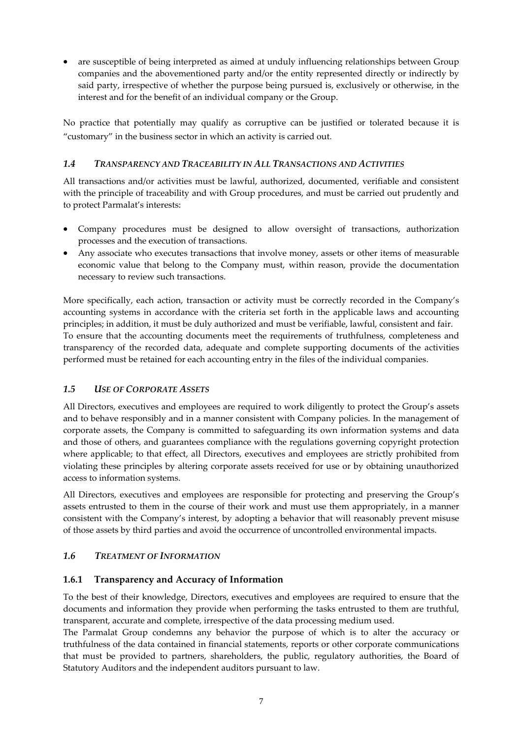are susceptible of being interpreted as aimed at unduly influencing relationships between Group companies and the abovementioned party and/or the entity represented directly or indirectly by said party, irrespective of whether the purpose being pursued is, exclusively or otherwise, in the interest and for the benefit of an individual company or the Group.

No practice that potentially may qualify as corruptive can be justified or tolerated because it is "customary" in the business sector in which an activity is carried out.

#### *1.4 TRANSPARENCY AND TRACEABILITY IN ALL TRANSACTIONS AND ACTIVITIES*

All transactions and/or activities must be lawful, authorized, documented, verifiable and consistent with the principle of traceability and with Group procedures, and must be carried out prudently and to protect Parmalat's interests:

- Company procedures must be designed to allow oversight of transactions, authorization processes and the execution of transactions.
- Any associate who executes transactions that involve money, assets or other items of measurable economic value that belong to the Company must, within reason, provide the documentation necessary to review such transactions.

More specifically, each action, transaction or activity must be correctly recorded in the Company's accounting systems in accordance with the criteria set forth in the applicable laws and accounting principles; in addition, it must be duly authorized and must be verifiable, lawful, consistent and fair. To ensure that the accounting documents meet the requirements of truthfulness, completeness and transparency of the recorded data, adequate and complete supporting documents of the activities performed must be retained for each accounting entry in the files of the individual companies.

#### *1.5 USE OF CORPORATE ASSETS*

All Directors, executives and employees are required to work diligently to protect the Group's assets and to behave responsibly and in a manner consistent with Company policies. In the management of corporate assets, the Company is committed to safeguarding its own information systems and data and those of others, and guarantees compliance with the regulations governing copyright protection where applicable; to that effect, all Directors, executives and employees are strictly prohibited from violating these principles by altering corporate assets received for use or by obtaining unauthorized access to information systems.

All Directors, executives and employees are responsible for protecting and preserving the Group's assets entrusted to them in the course of their work and must use them appropriately, in a manner consistent with the Company's interest, by adopting a behavior that will reasonably prevent misuse of those assets by third parties and avoid the occurrence of uncontrolled environmental impacts.

#### *1.6 TREATMENT OF INFORMATION*

#### **1.6.1 Transparency and Accuracy of Information**

To the best of their knowledge, Directors, executives and employees are required to ensure that the documents and information they provide when performing the tasks entrusted to them are truthful, transparent, accurate and complete, irrespective of the data processing medium used.

The Parmalat Group condemns any behavior the purpose of which is to alter the accuracy or truthfulness of the data contained in financial statements, reports or other corporate communications that must be provided to partners, shareholders, the public, regulatory authorities, the Board of Statutory Auditors and the independent auditors pursuant to law.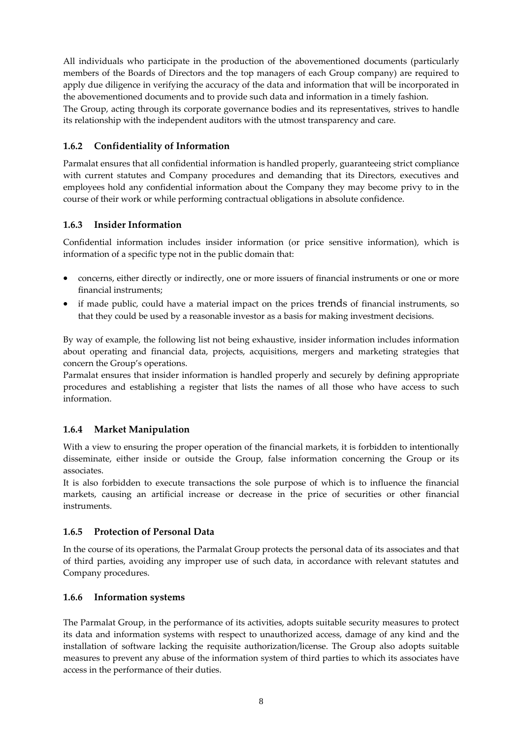All individuals who participate in the production of the abovementioned documents (particularly members of the Boards of Directors and the top managers of each Group company) are required to apply due diligence in verifying the accuracy of the data and information that will be incorporated in the abovementioned documents and to provide such data and information in a timely fashion. The Group, acting through its corporate governance bodies and its representatives, strives to handle its relationship with the independent auditors with the utmost transparency and care.

#### **1.6.2 Confidentiality of Information**

Parmalat ensures that all confidential information is handled properly, guaranteeing strict compliance with current statutes and Company procedures and demanding that its Directors, executives and employees hold any confidential information about the Company they may become privy to in the course of their work or while performing contractual obligations in absolute confidence.

#### **1.6.3 Insider Information**

Confidential information includes insider information (or price sensitive information), which is information of a specific type not in the public domain that:

- concerns, either directly or indirectly, one or more issuers of financial instruments or one or more financial instruments;
- if made public, could have a material impact on the prices trends of financial instruments, so that they could be used by a reasonable investor as a basis for making investment decisions.

By way of example, the following list not being exhaustive, insider information includes information about operating and financial data, projects, acquisitions, mergers and marketing strategies that concern the Group's operations.

Parmalat ensures that insider information is handled properly and securely by defining appropriate procedures and establishing a register that lists the names of all those who have access to such information.

#### **1.6.4 Market Manipulation**

With a view to ensuring the proper operation of the financial markets, it is forbidden to intentionally disseminate, either inside or outside the Group, false information concerning the Group or its associates.

It is also forbidden to execute transactions the sole purpose of which is to influence the financial markets, causing an artificial increase or decrease in the price of securities or other financial instruments.

#### **1.6.5 Protection of Personal Data**

In the course of its operations, the Parmalat Group protects the personal data of its associates and that of third parties, avoiding any improper use of such data, in accordance with relevant statutes and Company procedures.

#### **1.6.6 Information systems**

The Parmalat Group, in the performance of its activities, adopts suitable security measures to protect its data and information systems with respect to unauthorized access, damage of any kind and the installation of software lacking the requisite authorization/license. The Group also adopts suitable measures to prevent any abuse of the information system of third parties to which its associates have access in the performance of their duties.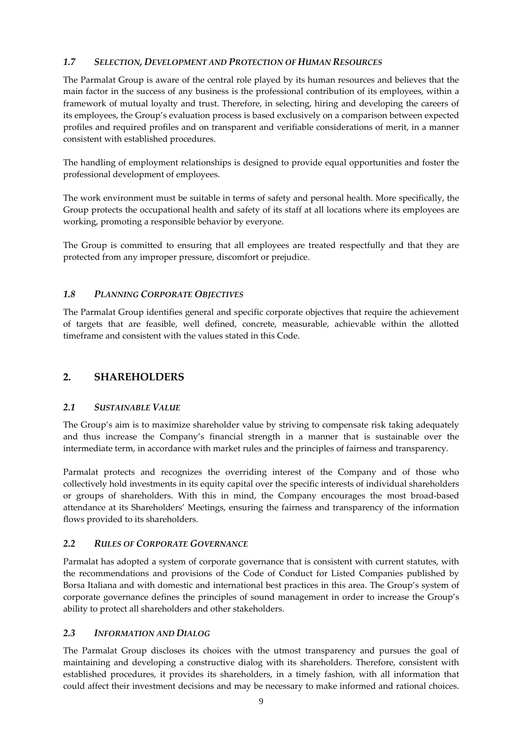#### *1.7 SELECTION, DEVELOPMENT AND PROTECTION OF HUMAN RESOURCES*

The Parmalat Group is aware of the central role played by its human resources and believes that the main factor in the success of any business is the professional contribution of its employees, within a framework of mutual loyalty and trust. Therefore, in selecting, hiring and developing the careers of its employees, the Group's evaluation process is based exclusively on a comparison between expected profiles and required profiles and on transparent and verifiable considerations of merit, in a manner consistent with established procedures.

The handling of employment relationships is designed to provide equal opportunities and foster the professional development of employees.

The work environment must be suitable in terms of safety and personal health. More specifically, the Group protects the occupational health and safety of its staff at all locations where its employees are working, promoting a responsible behavior by everyone.

The Group is committed to ensuring that all employees are treated respectfully and that they are protected from any improper pressure, discomfort or prejudice.

#### *1.8 PLANNING CORPORATE OBJECTIVES*

The Parmalat Group identifies general and specific corporate objectives that require the achievement of targets that are feasible, well defined, concrete, measurable, achievable within the allotted timeframe and consistent with the values stated in this Code.

#### **2. SHAREHOLDERS**

#### *2.1 SUSTAINABLE VALUE*

The Group's aim is to maximize shareholder value by striving to compensate risk taking adequately and thus increase the Company's financial strength in a manner that is sustainable over the intermediate term, in accordance with market rules and the principles of fairness and transparency.

Parmalat protects and recognizes the overriding interest of the Company and of those who collectively hold investments in its equity capital over the specific interests of individual shareholders or groups of shareholders. With this in mind, the Company encourages the most broad‐based attendance at its Shareholders' Meetings, ensuring the fairness and transparency of the information flows provided to its shareholders.

#### *2.2 RULES OF CORPORATE GOVERNANCE*

Parmalat has adopted a system of corporate governance that is consistent with current statutes, with the recommendations and provisions of the Code of Conduct for Listed Companies published by Borsa Italiana and with domestic and international best practices in this area. The Group's system of corporate governance defines the principles of sound management in order to increase the Group's ability to protect all shareholders and other stakeholders.

#### *2.3 INFORMATION AND DIALOG*

The Parmalat Group discloses its choices with the utmost transparency and pursues the goal of maintaining and developing a constructive dialog with its shareholders. Therefore, consistent with established procedures, it provides its shareholders, in a timely fashion, with all information that could affect their investment decisions and may be necessary to make informed and rational choices.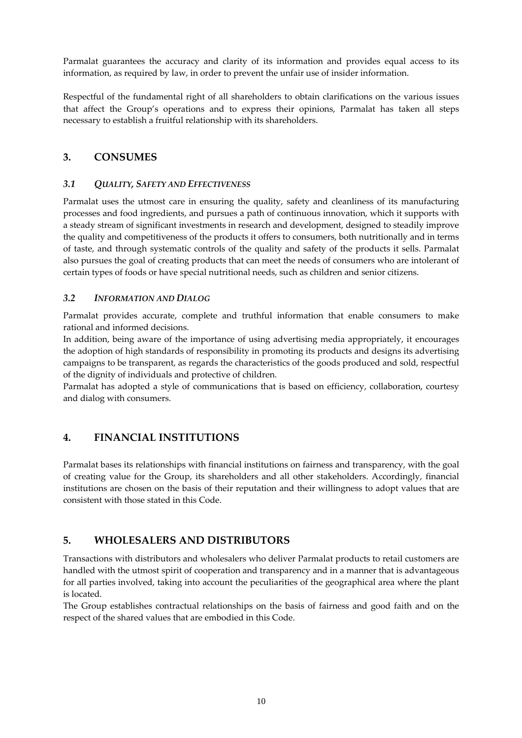Parmalat guarantees the accuracy and clarity of its information and provides equal access to its information, as required by law, in order to prevent the unfair use of insider information.

Respectful of the fundamental right of all shareholders to obtain clarifications on the various issues that affect the Group's operations and to express their opinions, Parmalat has taken all steps necessary to establish a fruitful relationship with its shareholders.

### **3. CONSUMES**

#### *3.1 QUALITY, SAFETY AND EFFECTIVENESS*

Parmalat uses the utmost care in ensuring the quality, safety and cleanliness of its manufacturing processes and food ingredients, and pursues a path of continuous innovation, which it supports with a steady stream of significant investments in research and development, designed to steadily improve the quality and competitiveness of the products it offers to consumers, both nutritionally and in terms of taste, and through systematic controls of the quality and safety of the products it sells. Parmalat also pursues the goal of creating products that can meet the needs of consumers who are intolerant of certain types of foods or have special nutritional needs, such as children and senior citizens.

#### *3.2 INFORMATION AND DIALOG*

Parmalat provides accurate, complete and truthful information that enable consumers to make rational and informed decisions.

In addition, being aware of the importance of using advertising media appropriately, it encourages the adoption of high standards of responsibility in promoting its products and designs its advertising campaigns to be transparent, as regards the characteristics of the goods produced and sold, respectful of the dignity of individuals and protective of children.

Parmalat has adopted a style of communications that is based on efficiency, collaboration, courtesy and dialog with consumers.

## **4. FINANCIAL INSTITUTIONS**

Parmalat bases its relationships with financial institutions on fairness and transparency, with the goal of creating value for the Group, its shareholders and all other stakeholders. Accordingly, financial institutions are chosen on the basis of their reputation and their willingness to adopt values that are consistent with those stated in this Code.

### **5. WHOLESALERS AND DISTRIBUTORS**

Transactions with distributors and wholesalers who deliver Parmalat products to retail customers are handled with the utmost spirit of cooperation and transparency and in a manner that is advantageous for all parties involved, taking into account the peculiarities of the geographical area where the plant is located.

The Group establishes contractual relationships on the basis of fairness and good faith and on the respect of the shared values that are embodied in this Code.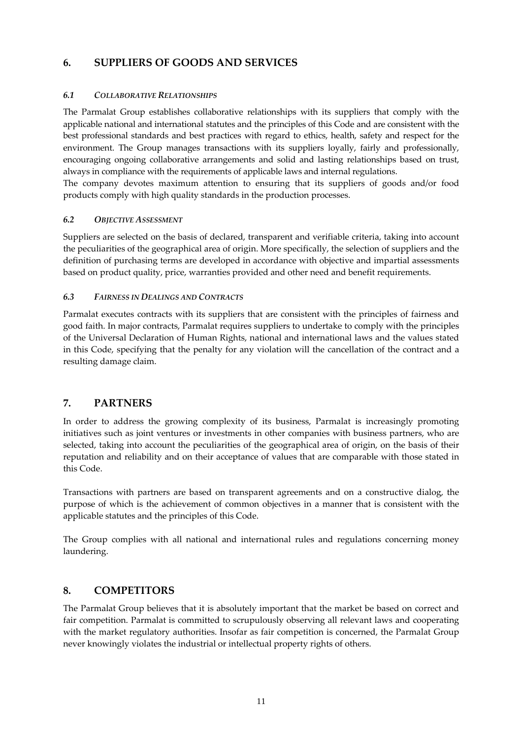### **6. SUPPLIERS OF GOODS AND SERVICES**

#### *6.1 COLLABORATIVE RELATIONSHIPS*

The Parmalat Group establishes collaborative relationships with its suppliers that comply with the applicable national and international statutes and the principles of this Code and are consistent with the best professional standards and best practices with regard to ethics, health, safety and respect for the environment. The Group manages transactions with its suppliers loyally, fairly and professionally, encouraging ongoing collaborative arrangements and solid and lasting relationships based on trust, always in compliance with the requirements of applicable laws and internal regulations.

The company devotes maximum attention to ensuring that its suppliers of goods and/or food products comply with high quality standards in the production processes.

#### *6.2 OBJECTIVE ASSESSMENT*

Suppliers are selected on the basis of declared, transparent and verifiable criteria, taking into account the peculiarities of the geographical area of origin. More specifically, the selection of suppliers and the definition of purchasing terms are developed in accordance with objective and impartial assessments based on product quality, price, warranties provided and other need and benefit requirements.

#### *6.3 FAIRNESS IN DEALINGS AND CONTRACTS*

Parmalat executes contracts with its suppliers that are consistent with the principles of fairness and good faith. In major contracts, Parmalat requires suppliers to undertake to comply with the principles of the Universal Declaration of Human Rights, national and international laws and the values stated in this Code, specifying that the penalty for any violation will the cancellation of the contract and a resulting damage claim.

#### **7. PARTNERS**

In order to address the growing complexity of its business, Parmalat is increasingly promoting initiatives such as joint ventures or investments in other companies with business partners, who are selected, taking into account the peculiarities of the geographical area of origin, on the basis of their reputation and reliability and on their acceptance of values that are comparable with those stated in this Code.

Transactions with partners are based on transparent agreements and on a constructive dialog, the purpose of which is the achievement of common objectives in a manner that is consistent with the applicable statutes and the principles of this Code.

The Group complies with all national and international rules and regulations concerning money laundering.

#### **8. COMPETITORS**

The Parmalat Group believes that it is absolutely important that the market be based on correct and fair competition. Parmalat is committed to scrupulously observing all relevant laws and cooperating with the market regulatory authorities. Insofar as fair competition is concerned, the Parmalat Group never knowingly violates the industrial or intellectual property rights of others.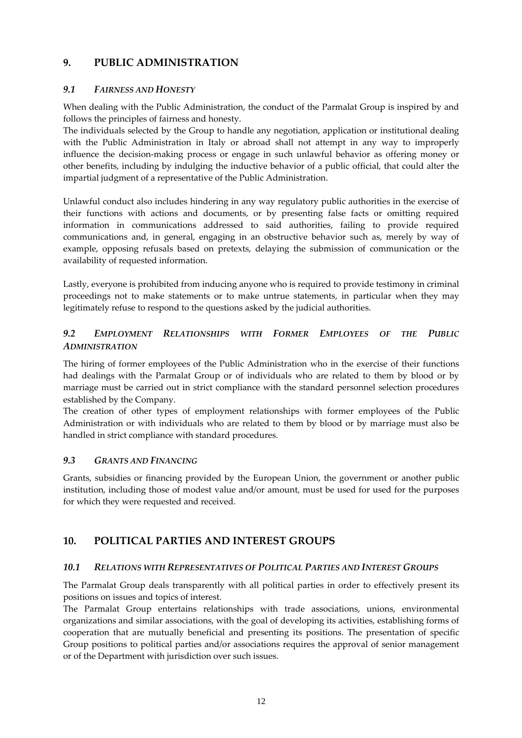### **9. PUBLIC ADMINISTRATION**

#### *9.1 FAIRNESS AND HONESTY*

When dealing with the Public Administration, the conduct of the Parmalat Group is inspired by and follows the principles of fairness and honesty.

The individuals selected by the Group to handle any negotiation, application or institutional dealing with the Public Administration in Italy or abroad shall not attempt in any way to improperly influence the decision-making process or engage in such unlawful behavior as offering money or other benefits, including by indulging the inductive behavior of a public official, that could alter the impartial judgment of a representative of the Public Administration.

Unlawful conduct also includes hindering in any way regulatory public authorities in the exercise of their functions with actions and documents, or by presenting false facts or omitting required information in communications addressed to said authorities, failing to provide required communications and, in general, engaging in an obstructive behavior such as, merely by way of example, opposing refusals based on pretexts, delaying the submission of communication or the availability of requested information.

Lastly, everyone is prohibited from inducing anyone who is required to provide testimony in criminal proceedings not to make statements or to make untrue statements, in particular when they may legitimately refuse to respond to the questions asked by the judicial authorities.

### *9.2 EMPLOYMENT RELATIONSHIPS WITH FORMER EMPLOYEES OF THE PUBLIC ADMINISTRATION*

The hiring of former employees of the Public Administration who in the exercise of their functions had dealings with the Parmalat Group or of individuals who are related to them by blood or by marriage must be carried out in strict compliance with the standard personnel selection procedures established by the Company.

The creation of other types of employment relationships with former employees of the Public Administration or with individuals who are related to them by blood or by marriage must also be handled in strict compliance with standard procedures.

#### *9.3 GRANTS AND FINANCING*

Grants, subsidies or financing provided by the European Union, the government or another public institution, including those of modest value and/or amount, must be used for used for the purposes for which they were requested and received.

### **10. POLITICAL PARTIES AND INTEREST GROUPS**

#### *10.1 RELATIONS WITH REPRESENTATIVES OF POLITICAL PARTIES AND INTEREST GROUPS*

The Parmalat Group deals transparently with all political parties in order to effectively present its positions on issues and topics of interest.

The Parmalat Group entertains relationships with trade associations, unions, environmental organizations and similar associations, with the goal of developing its activities, establishing forms of cooperation that are mutually beneficial and presenting its positions. The presentation of specific Group positions to political parties and/or associations requires the approval of senior management or of the Department with jurisdiction over such issues.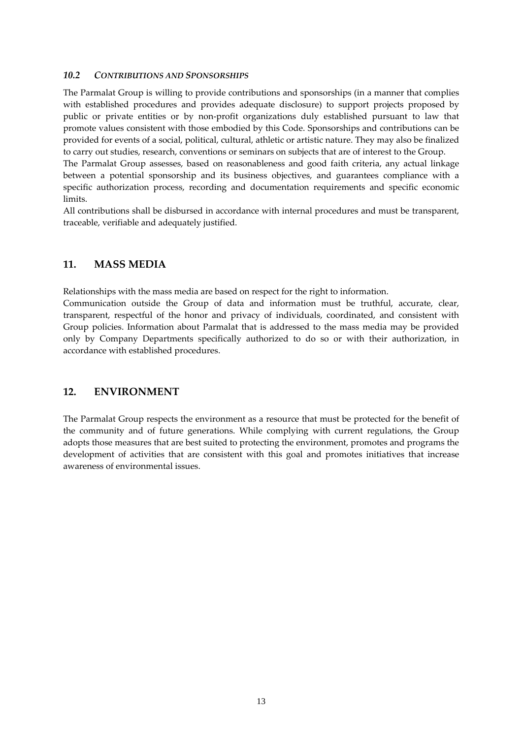#### *10.2 CONTRIBUTIONS AND SPONSORSHIPS*

The Parmalat Group is willing to provide contributions and sponsorships (in a manner that complies with established procedures and provides adequate disclosure) to support projects proposed by public or private entities or by non‐profit organizations duly established pursuant to law that promote values consistent with those embodied by this Code. Sponsorships and contributions can be provided for events of a social, political, cultural, athletic or artistic nature. They may also be finalized to carry out studies, research, conventions or seminars on subjects that are of interest to the Group.

The Parmalat Group assesses, based on reasonableness and good faith criteria, any actual linkage between a potential sponsorship and its business objectives, and guarantees compliance with a specific authorization process, recording and documentation requirements and specific economic limits.

All contributions shall be disbursed in accordance with internal procedures and must be transparent, traceable, verifiable and adequately justified.

#### **11. MASS MEDIA**

Relationships with the mass media are based on respect for the right to information.

Communication outside the Group of data and information must be truthful, accurate, clear, transparent, respectful of the honor and privacy of individuals, coordinated, and consistent with Group policies. Information about Parmalat that is addressed to the mass media may be provided only by Company Departments specifically authorized to do so or with their authorization, in accordance with established procedures.

### **12. ENVIRONMENT**

The Parmalat Group respects the environment as a resource that must be protected for the benefit of the community and of future generations. While complying with current regulations, the Group adopts those measures that are best suited to protecting the environment, promotes and programs the development of activities that are consistent with this goal and promotes initiatives that increase awareness of environmental issues.